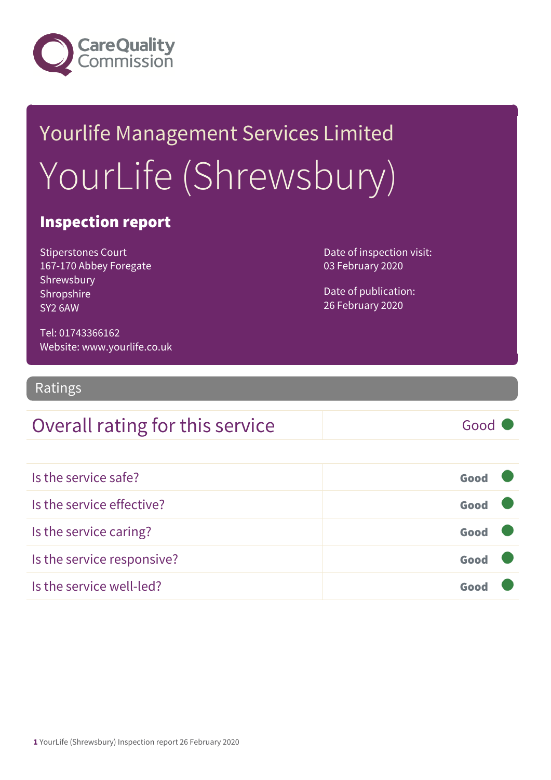

# Yourlife Management Services Limited YourLife (Shrewsbury)

#### Inspection report

Stiperstones Court 167-170 Abbey Foregate Shrewsbury Shropshire SY2 6AW

Date of inspection visit: 03 February 2020

Date of publication: 26 February 2020

Tel: 01743366162 Website: www.yourlife.co.uk

Ratings

### Overall rating for this service Fig. 6000

| Is the service safe?       | Good |  |
|----------------------------|------|--|
| Is the service effective?  | Good |  |
| Is the service caring?     | Good |  |
| Is the service responsive? | Good |  |
| Is the service well-led?   | Gooi |  |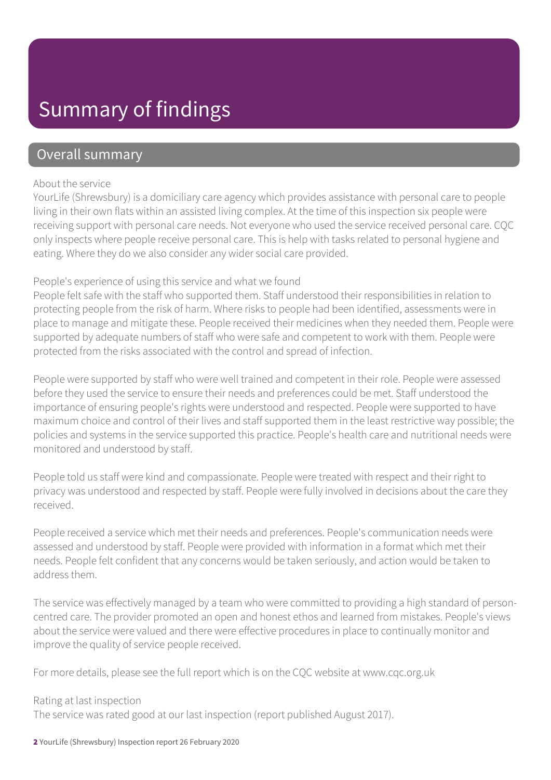# Summary of findings

#### Overall summary

#### About the service

YourLife (Shrewsbury) is a domiciliary care agency which provides assistance with personal care to people living in their own flats within an assisted living complex. At the time of this inspection six people were receiving support with personal care needs. Not everyone who used the service received personal care. CQC only inspects where people receive personal care. This is help with tasks related to personal hygiene and eating. Where they do we also consider any wider social care provided.

#### People's experience of using this service and what we found

People felt safe with the staff who supported them. Staff understood their responsibilities in relation to protecting people from the risk of harm. Where risks to people had been identified, assessments were in place to manage and mitigate these. People received their medicines when they needed them. People were supported by adequate numbers of staff who were safe and competent to work with them. People were protected from the risks associated with the control and spread of infection.

People were supported by staff who were well trained and competent in their role. People were assessed before they used the service to ensure their needs and preferences could be met. Staff understood the importance of ensuring people's rights were understood and respected. People were supported to have maximum choice and control of their lives and staff supported them in the least restrictive way possible; the policies and systems in the service supported this practice. People's health care and nutritional needs were monitored and understood by staff.

People told us staff were kind and compassionate. People were treated with respect and their right to privacy was understood and respected by staff. People were fully involved in decisions about the care they received.

People received a service which met their needs and preferences. People's communication needs were assessed and understood by staff. People were provided with information in a format which met their needs. People felt confident that any concerns would be taken seriously, and action would be taken to address them.

The service was effectively managed by a team who were committed to providing a high standard of personcentred care. The provider promoted an open and honest ethos and learned from mistakes. People's views about the service were valued and there were effective procedures in place to continually monitor and improve the quality of service people received.

For more details, please see the full report which is on the CQC website at www.cqc.org.uk

#### Rating at last inspection

The service was rated good at our last inspection (report published August 2017).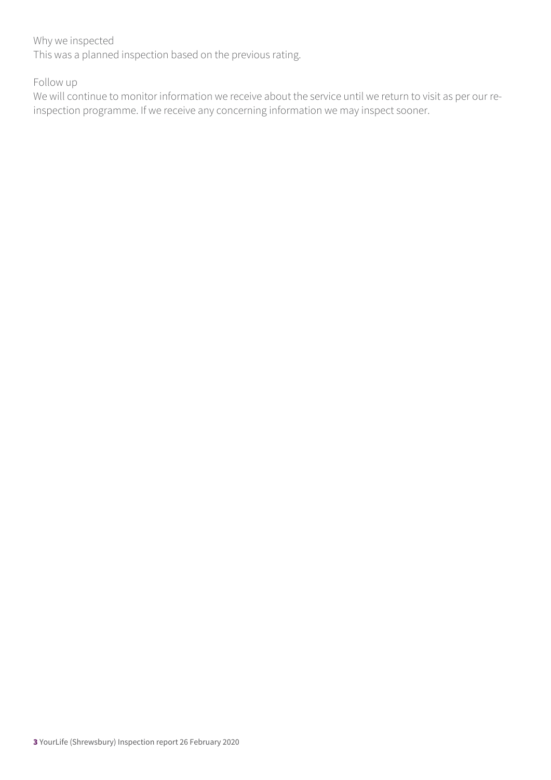#### Why we inspected

This was a planned inspection based on the previous rating.

Follow up

We will continue to monitor information we receive about the service until we return to visit as per our reinspection programme. If we receive any concerning information we may inspect sooner.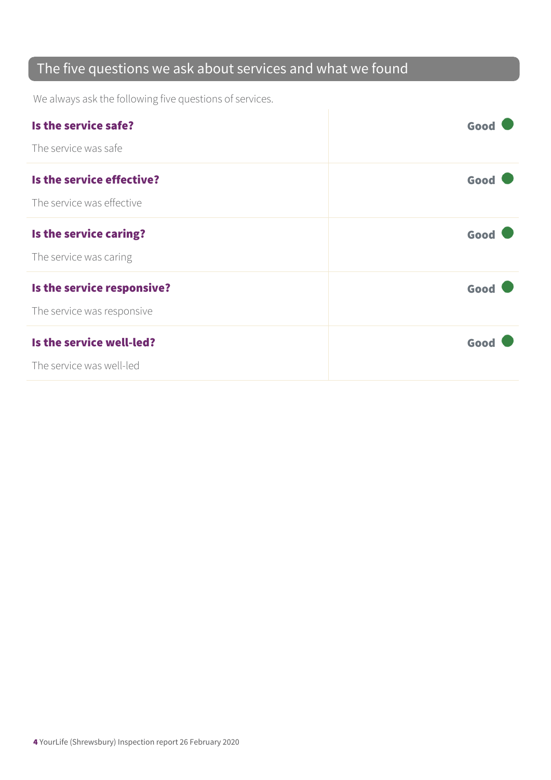### The five questions we ask about services and what we found

We always ask the following five questions of services.

| Is the service safe?       | Good |
|----------------------------|------|
| The service was safe       |      |
| Is the service effective?  | Good |
| The service was effective  |      |
| Is the service caring?     | Good |
| The service was caring     |      |
| Is the service responsive? | Good |
| The service was responsive |      |
| Is the service well-led?   | Good |
| The service was well-led   |      |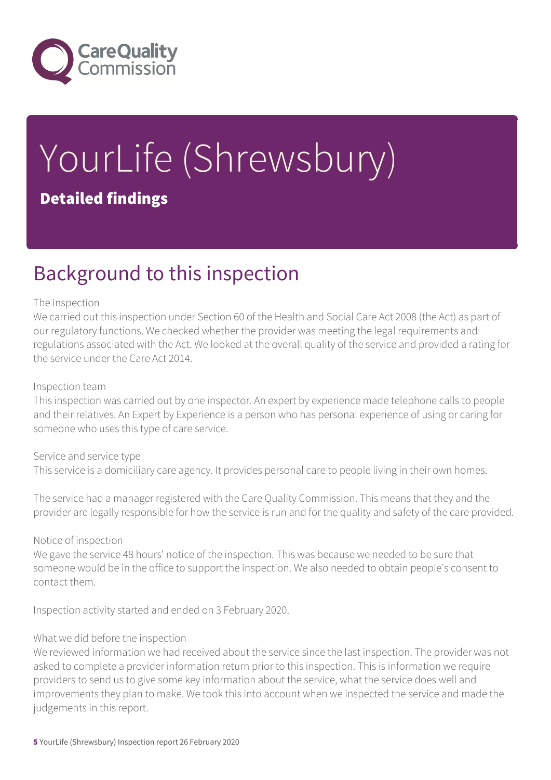

# YourLife (Shrewsbury) Detailed findings

# Background to this inspection

#### The inspection

We carried out this inspection under Section 60 of the Health and Social Care Act 2008 (the Act) as part of our regulatory functions. We checked whether the provider was meeting the legal requirements and regulations associated with the Act. We looked at the overall quality of the service and provided a rating for the service under the Care Act 2014.

#### Inspection team

This inspection was carried out by one inspector. An expert by experience made telephone calls to people and their relatives. An Expert by Experience is a person who has personal experience of using or caring for someone who uses this type of care service.

Service and service type This service is a domiciliary care agency. It provides personal care to people living in their own homes.

The service had a manager registered with the Care Quality Commission. This means that they and the provider are legally responsible for how the service is run and for the quality and safety of the care provided.

Notice of inspection

We gave the service 48 hours' notice of the inspection. This was because we needed to be sure that someone would be in the office to support the inspection. We also needed to obtain people's consent to contact them.

Inspection activity started and ended on 3 February 2020.

#### What we did before the inspection

We reviewed information we had received about the service since the last inspection. The provider was not asked to complete a provider information return prior to this inspection. This is information we require providers to send us to give some key information about the service, what the service does well and improvements they plan to make. We took this into account when we inspected the service and made the judgements in this report.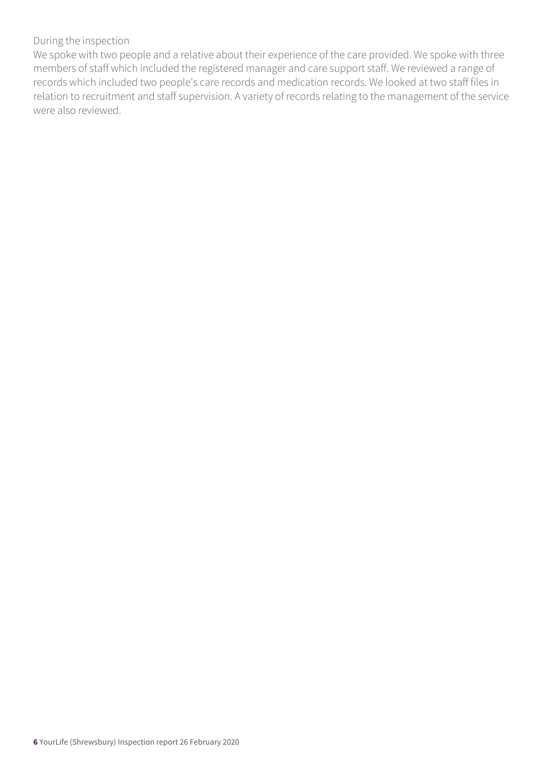#### During the inspection

We spoke with two people and a relative about their experience of the care provided. We spoke with three members of staff which included the registered manager and care support staff. We reviewed a range of records which included two people's care records and medication records. We looked at two staff files in relation to recruitment and staff supervision. A variety of records relating to the management of the service were also reviewed.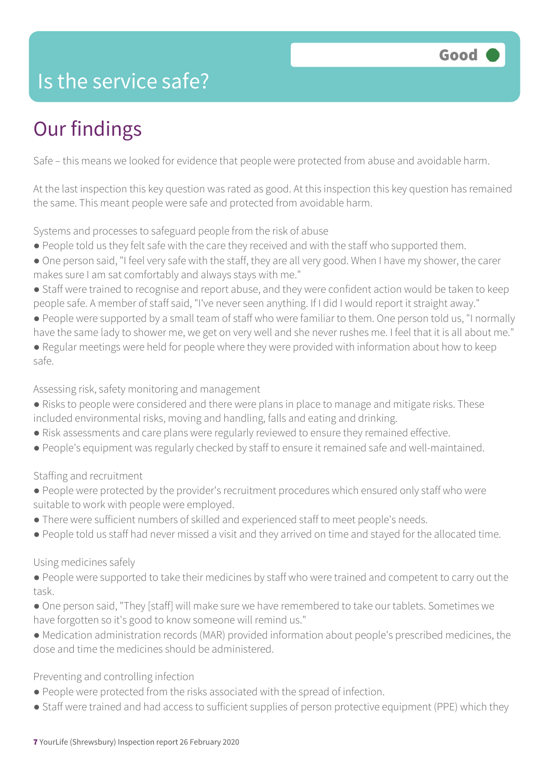# Is the service safe?

# Our findings

Safe – this means we looked for evidence that people were protected from abuse and avoidable harm.

At the last inspection this key question was rated as good. At this inspection this key question has remained the same. This meant people were safe and protected from avoidable harm.

Systems and processes to safeguard people from the risk of abuse

- People told us they felt safe with the care they received and with the staff who supported them.
- One person said, "I feel very safe with the staff, they are all very good. When I have my shower, the carer makes sure I am sat comfortably and always stays with me."
- Staff were trained to recognise and report abuse, and they were confident action would be taken to keep people safe. A member of staff said, "I've never seen anything. If I did I would report it straight away."
- People were supported by a small team of staff who were familiar to them. One person told us, "I normally have the same lady to shower me, we get on very well and she never rushes me. I feel that it is all about me."
- Regular meetings were held for people where they were provided with information about how to keep safe.

Assessing risk, safety monitoring and management

- Risks to people were considered and there were plans in place to manage and mitigate risks. These included environmental risks, moving and handling, falls and eating and drinking.
- Risk assessments and care plans were regularly reviewed to ensure they remained effective.
- People's equipment was regularly checked by staff to ensure it remained safe and well-maintained.

Staffing and recruitment

- People were protected by the provider's recruitment procedures which ensured only staff who were suitable to work with people were employed.
- There were sufficient numbers of skilled and experienced staff to meet people's needs.
- People told us staff had never missed a visit and they arrived on time and stayed for the allocated time.

#### Using medicines safely

- People were supported to take their medicines by staff who were trained and competent to carry out the task.
- One person said, "They [staff] will make sure we have remembered to take our tablets. Sometimes we have forgotten so it's good to know someone will remind us."
- Medication administration records (MAR) provided information about people's prescribed medicines, the dose and time the medicines should be administered.

#### Preventing and controlling infection

- People were protected from the risks associated with the spread of infection.
- Staff were trained and had access to sufficient supplies of person protective equipment (PPE) which they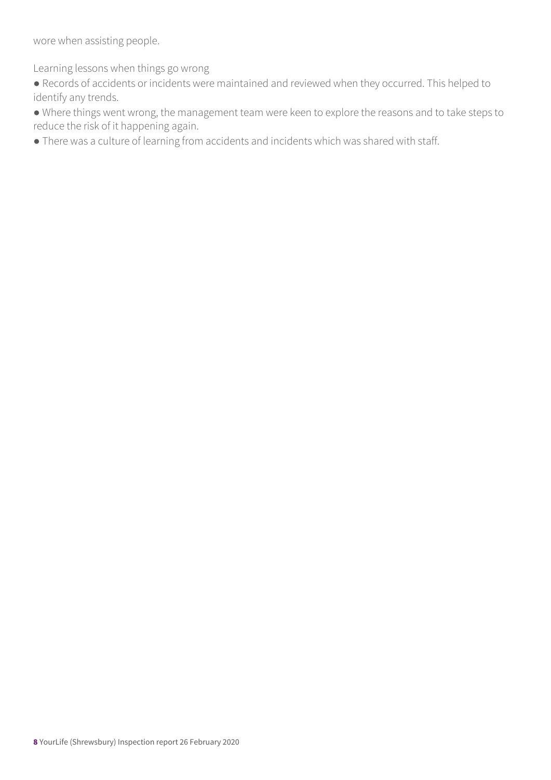wore when assisting people.

Learning lessons when things go wrong

● Records of accidents or incidents were maintained and reviewed when they occurred. This helped to identify any trends.

● Where things went wrong, the management team were keen to explore the reasons and to take steps to reduce the risk of it happening again.

● There was a culture of learning from accidents and incidents which was shared with staff.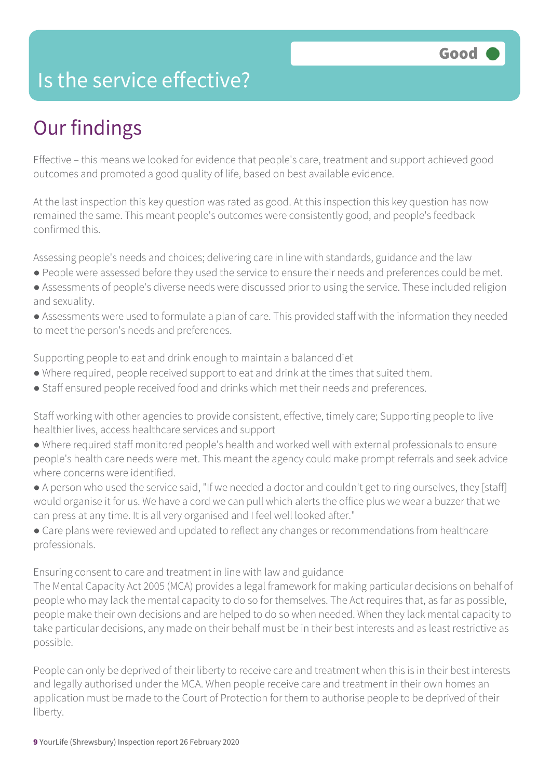## Is the service effective?

# Our findings

Effective – this means we looked for evidence that people's care, treatment and support achieved good outcomes and promoted a good quality of life, based on best available evidence.

At the last inspection this key question was rated as good. At this inspection this key question has now remained the same. This meant people's outcomes were consistently good, and people's feedback confirmed this.

Assessing people's needs and choices; delivering care in line with standards, guidance and the law

- People were assessed before they used the service to ensure their needs and preferences could be met.
- Assessments of people's diverse needs were discussed prior to using the service. These included religion and sexuality.
- Assessments were used to formulate a plan of care. This provided staff with the information they needed to meet the person's needs and preferences.

Supporting people to eat and drink enough to maintain a balanced diet

- Where required, people received support to eat and drink at the times that suited them.
- Staff ensured people received food and drinks which met their needs and preferences.

Staff working with other agencies to provide consistent, effective, timely care; Supporting people to live healthier lives, access healthcare services and support

● Where required staff monitored people's health and worked well with external professionals to ensure people's health care needs were met. This meant the agency could make prompt referrals and seek advice where concerns were identified.

● A person who used the service said, "If we needed a doctor and couldn't get to ring ourselves, they [staff] would organise it for us. We have a cord we can pull which alerts the office plus we wear a buzzer that we can press at any time. It is all very organised and I feel well looked after."

• Care plans were reviewed and updated to reflect any changes or recommendations from healthcare professionals.

Ensuring consent to care and treatment in line with law and guidance

The Mental Capacity Act 2005 (MCA) provides a legal framework for making particular decisions on behalf of people who may lack the mental capacity to do so for themselves. The Act requires that, as far as possible, people make their own decisions and are helped to do so when needed. When they lack mental capacity to take particular decisions, any made on their behalf must be in their best interests and as least restrictive as possible.

People can only be deprived of their liberty to receive care and treatment when this is in their best interests and legally authorised under the MCA. When people receive care and treatment in their own homes an application must be made to the Court of Protection for them to authorise people to be deprived of their liberty.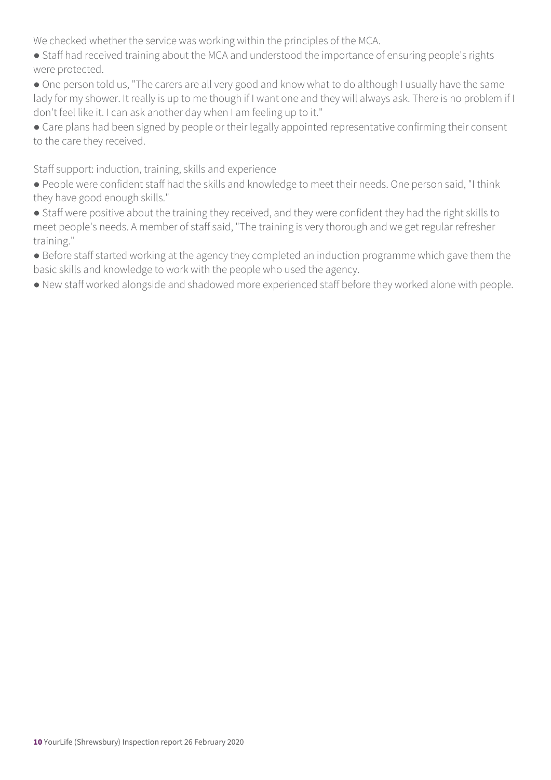We checked whether the service was working within the principles of the MCA.

● Staff had received training about the MCA and understood the importance of ensuring people's rights were protected.

● One person told us, "The carers are all very good and know what to do although I usually have the same lady for my shower. It really is up to me though if I want one and they will always ask. There is no problem if I don't feel like it. I can ask another day when I am feeling up to it."

● Care plans had been signed by people or their legally appointed representative confirming their consent to the care they received.

Staff support: induction, training, skills and experience

● People were confident staff had the skills and knowledge to meet their needs. One person said, "I think they have good enough skills."

● Staff were positive about the training they received, and they were confident they had the right skills to meet people's needs. A member of staff said, "The training is very thorough and we get regular refresher training."

● Before staff started working at the agency they completed an induction programme which gave them the basic skills and knowledge to work with the people who used the agency.

● New staff worked alongside and shadowed more experienced staff before they worked alone with people.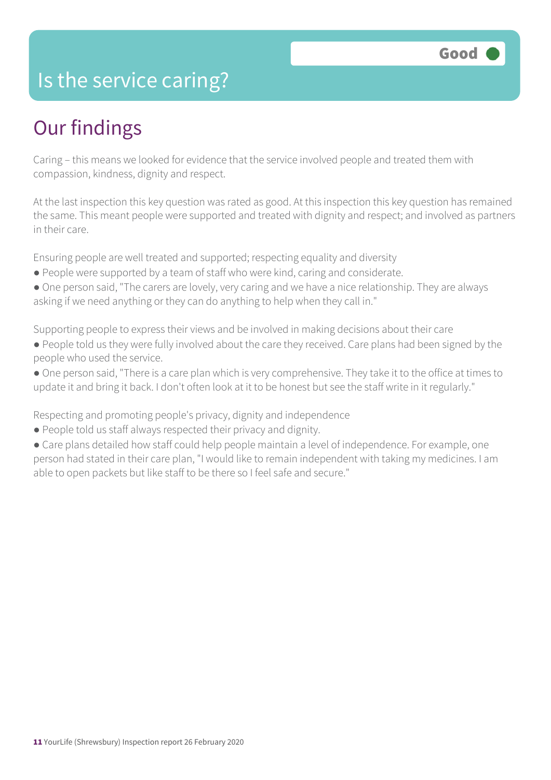### Is the service caring?

# Our findings

Caring – this means we looked for evidence that the service involved people and treated them with compassion, kindness, dignity and respect.

At the last inspection this key question was rated as good. At this inspection this key question has remained the same. This meant people were supported and treated with dignity and respect; and involved as partners in their care.

Ensuring people are well treated and supported; respecting equality and diversity

- People were supported by a team of staff who were kind, caring and considerate.
- One person said, "The carers are lovely, very caring and we have a nice relationship. They are always asking if we need anything or they can do anything to help when they call in."

Supporting people to express their views and be involved in making decisions about their care

- People told us they were fully involved about the care they received. Care plans had been signed by the people who used the service.
- One person said, "There is a care plan which is very comprehensive. They take it to the office at times to update it and bring it back. I don't often look at it to be honest but see the staff write in it regularly."

Respecting and promoting people's privacy, dignity and independence

- People told us staff always respected their privacy and dignity.
- Care plans detailed how staff could help people maintain a level of independence. For example, one person had stated in their care plan, "I would like to remain independent with taking my medicines. I am able to open packets but like staff to be there so I feel safe and secure."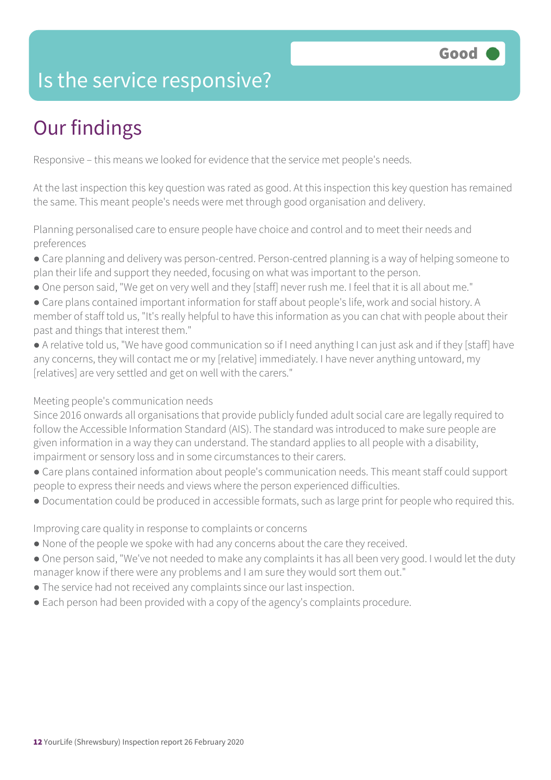# Is the service responsive?

# Our findings

Responsive – this means we looked for evidence that the service met people's needs.

At the last inspection this key question was rated as good. At this inspection this key question has remained the same. This meant people's needs were met through good organisation and delivery.

Planning personalised care to ensure people have choice and control and to meet their needs and preferences

- Care planning and delivery was person-centred. Person-centred planning is a way of helping someone to plan their life and support they needed, focusing on what was important to the person.
- One person said, "We get on very well and they [staff] never rush me. I feel that it is all about me."
- Care plans contained important information for staff about people's life, work and social history. A member of staff told us, "It's really helpful to have this information as you can chat with people about their past and things that interest them."
- A relative told us, "We have good communication so if I need anything I can just ask and if they [staff] have any concerns, they will contact me or my [relative] immediately. I have never anything untoward, my [relatives] are very settled and get on well with the carers."

#### Meeting people's communication needs

Since 2016 onwards all organisations that provide publicly funded adult social care are legally required to follow the Accessible Information Standard (AIS). The standard was introduced to make sure people are given information in a way they can understand. The standard applies to all people with a disability, impairment or sensory loss and in some circumstances to their carers.

- Care plans contained information about people's communication needs. This meant staff could support people to express their needs and views where the person experienced difficulties.
- Documentation could be produced in accessible formats, such as large print for people who required this.

Improving care quality in response to complaints or concerns

- None of the people we spoke with had any concerns about the care they received.
- One person said, "We've not needed to make any complaints it has all been very good. I would let the duty manager know if there were any problems and I am sure they would sort them out."
- The service had not received any complaints since our last inspection.
- Each person had been provided with a copy of the agency's complaints procedure.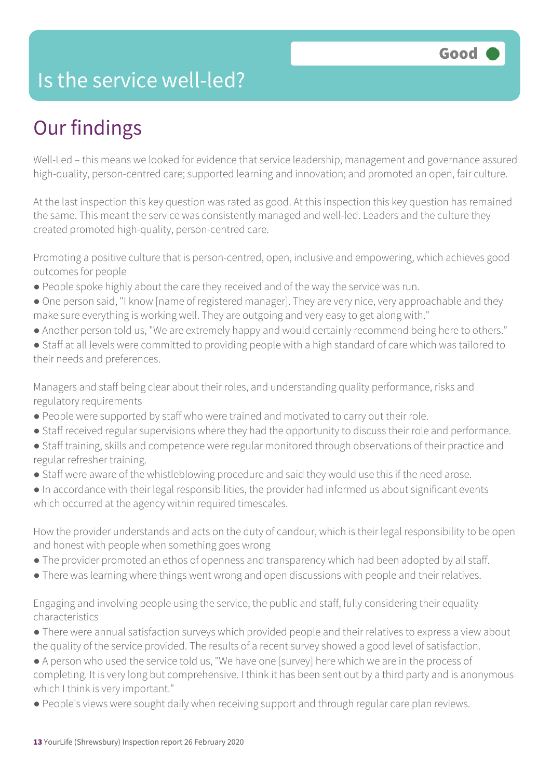## Is the service well-led?

# Our findings

Well-Led – this means we looked for evidence that service leadership, management and governance assured high-quality, person-centred care; supported learning and innovation; and promoted an open, fair culture.

At the last inspection this key question was rated as good. At this inspection this key question has remained the same. This meant the service was consistently managed and well-led. Leaders and the culture they created promoted high-quality, person-centred care.

Promoting a positive culture that is person-centred, open, inclusive and empowering, which achieves good outcomes for people

- People spoke highly about the care they received and of the way the service was run.
- One person said, "I know [name of registered manager]. They are very nice, very approachable and they make sure everything is working well. They are outgoing and very easy to get along with."
- Another person told us, "We are extremely happy and would certainly recommend being here to others."
- Staff at all levels were committed to providing people with a high standard of care which was tailored to their needs and preferences.

Managers and staff being clear about their roles, and understanding quality performance, risks and regulatory requirements

- People were supported by staff who were trained and motivated to carry out their role.
- Staff received regular supervisions where they had the opportunity to discuss their role and performance.
- Staff training, skills and competence were regular monitored through observations of their practice and regular refresher training.
- Staff were aware of the whistleblowing procedure and said they would use this if the need arose.
- In accordance with their legal responsibilities, the provider had informed us about significant events which occurred at the agency within required timescales.

How the provider understands and acts on the duty of candour, which is their legal responsibility to be open and honest with people when something goes wrong

- The provider promoted an ethos of openness and transparency which had been adopted by all staff.
- There was learning where things went wrong and open discussions with people and their relatives.

Engaging and involving people using the service, the public and staff, fully considering their equality characteristics

- There were annual satisfaction surveys which provided people and their relatives to express a view about the quality of the service provided. The results of a recent survey showed a good level of satisfaction.
- A person who used the service told us, "We have one [survey] here which we are in the process of completing. It is very long but comprehensive. I think it has been sent out by a third party and is anonymous which I think is very important."
- People's views were sought daily when receiving support and through regular care plan reviews.